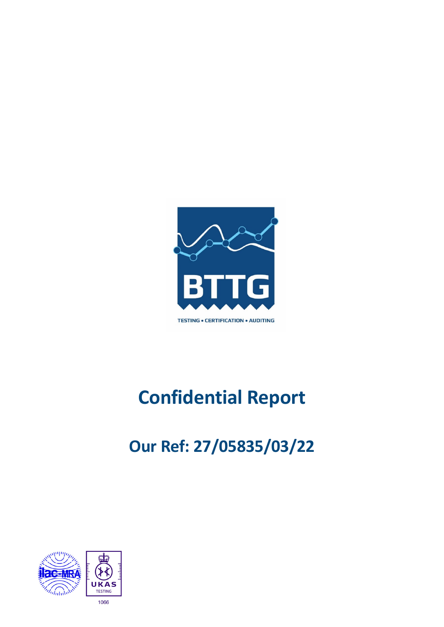

# **Confidential Report**

# **Our Ref: 27/05835/03/22**

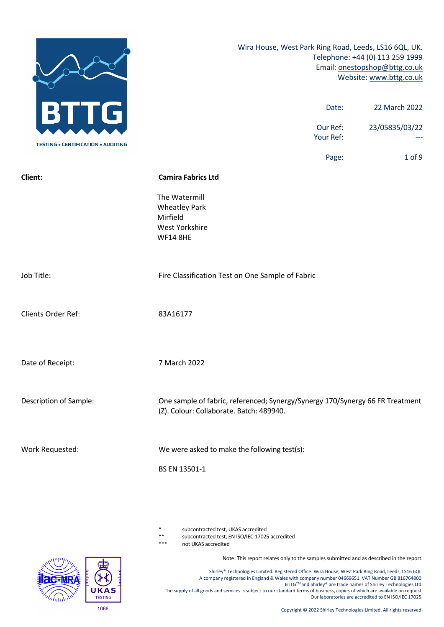

subcontracted test, UKAS accredited

\*\* subcontracted test, EN ISO/IEC 17025 accredited

not UKAS accredited

Note: This report relates only to the samples submitted and as described in the report.

Shirley® Technologies Limited. Registered Office: Wira House, West Park Ring Road, Leeds, LS16 6QL. A company registered in England & Wales with company number 04669651. VAT Number GB 816764800. BTTG™ and Shirley® are trade names of Shirley Technologies Ltd. The supply of all goods and services is subject to our standard terms of business, copies of which are available on request. Our laboratories are accredited to EN ISO/IEC 17025.

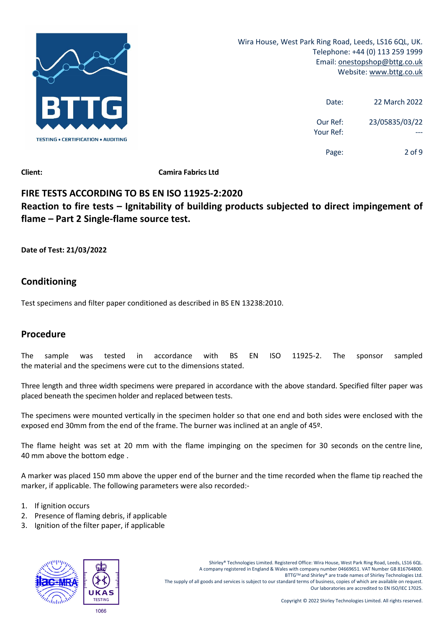

| 22 March 2022  | Date:                 |
|----------------|-----------------------|
| 23/05835/03/22 | Our Ref:<br>Your Ref: |
| 2 of 9         | Page:                 |

**Client: Camira Fabrics Ltd**

# **FIRE TESTS ACCORDING TO BS EN ISO 11925‐2:2020 Reaction to fire tests – Ignitability of building products subjected to direct impingement of flame – Part 2 Single‐flame source test.**

**Date of Test: 21/03/2022**

# **Conditioning**

Test specimens and filter paper conditioned as described in BS EN 13238:2010.

# **Procedure**

The sample was tested in accordance with BS EN ISO 11925‐2. The sponsor sampled the material and the specimens were cut to the dimensions stated.

Three length and three width specimens were prepared in accordance with the above standard. Specified filter paper was placed beneath the specimen holder and replaced between tests.

The specimens were mounted vertically in the specimen holder so that one end and both sides were enclosed with the exposed end 30mm from the end of the frame. The burner was inclined at an angle of 45º.

The flame height was set at 20 mm with the flame impinging on the specimen for 30 seconds on the centre line, 40 mm above the bottom edge .

A marker was placed 150 mm above the upper end of the burner and the time recorded when the flame tip reached the marker, if applicable. The following parameters were also recorded:‐

- 1. If ignition occurs
- 2. Presence of flaming debris, if applicable
- 3. Ignition of the filter paper, if applicable

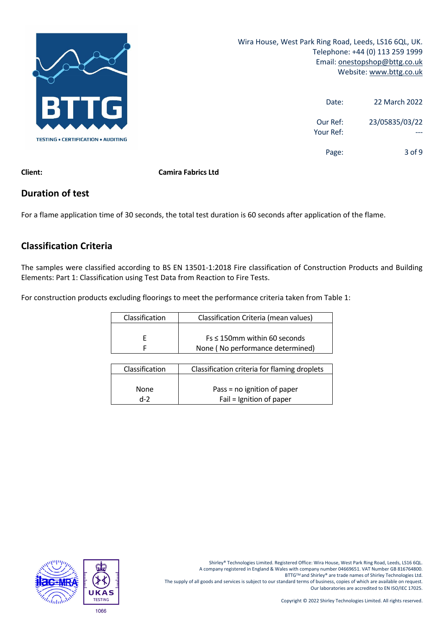

| 22 March 2022  | Date:                 |
|----------------|-----------------------|
| 23/05835/03/22 | Our Ref:<br>Your Ref: |
| 3 of 9         | Page:                 |

**Client: Camira Fabrics Ltd**

# **Duration of test**

For a flame application time of 30 seconds, the total test duration is 60 seconds after application of the flame.

# **Classification Criteria**

The samples were classified according to BS EN 13501‐1:2018 Fire classification of Construction Products and Building Elements: Part 1: Classification using Test Data from Reaction to Fire Tests.

For construction products excluding floorings to meet the performance criteria taken from Table 1:

| Classification | Classification Criteria (mean values) |
|----------------|---------------------------------------|
|                |                                       |
|                | $Fs \leq 150$ mm within 60 seconds    |
|                | None (No performance determined)      |

| Classification | Classification criteria for flaming droplets |
|----------------|----------------------------------------------|
|                |                                              |
|                |                                              |
|                |                                              |
| <b>None</b>    | Pass = no ignition of paper                  |
|                |                                              |
| $d-2$          | Fail = Ignition of paper                     |
|                |                                              |

Shirley® Technologies Limited. Registered Office: Wira House, West Park Ring Road, Leeds, LS16 6QL. A company registered in England & Wales with company number 04669651. VAT Number GB 816764800. BTTG™ and Shirley® are trade names of Shirley Technologies Ltd. The supply of all goods and services is subject to our standard terms of business, copies of which are available on request. Our laboratories are accredited to EN ISO/IEC 17025.

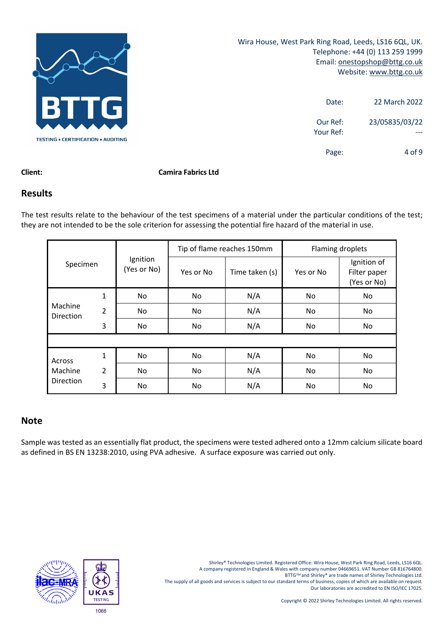

| 22 March 2022  | Date:                 |
|----------------|-----------------------|
| 23/05835/03/22 | Our Ref:<br>Your Ref: |
| 4 of 9         | Page:                 |

#### **Client: Camira Fabrics Ltd**

### **Results**

The test results relate to the behaviour of the test specimens of a material under the particular conditions of the test; they are not intended to be the sole criterion for assessing the potential fire hazard of the material in use.

|                      |                |                         | Tip of flame reaches 150mm |                | Flaming droplets |                                            |
|----------------------|----------------|-------------------------|----------------------------|----------------|------------------|--------------------------------------------|
| Specimen             |                | Ignition<br>(Yes or No) | Yes or No                  | Time taken (s) | Yes or No        | Ignition of<br>Filter paper<br>(Yes or No) |
|                      | $\mathbf{1}$   | No                      | No                         | N/A            | No               | No.                                        |
| Machine<br>Direction | $\overline{2}$ | No                      | No                         | N/A            | No               | No.                                        |
|                      | 3              | No.                     | No                         | N/A            | No               | No                                         |
|                      |                |                         |                            |                |                  |                                            |
| Across               | 1              | No.                     | No                         | N/A            | No               | No                                         |
| Machine              | $\overline{2}$ | No.                     | <b>No</b>                  | N/A            | No               | No.                                        |
| Direction            | 3              | No.                     | No                         | N/A            | No               | No                                         |

### **Note**

Sample was tested as an essentially flat product, the specimens were tested adhered onto a 12mm calcium silicate board as defined in BS EN 13238:2010, using PVA adhesive. A surface exposure was carried out only.



Shirley® Technologies Limited. Registered Office: Wira House, West Park Ring Road, Leeds, LS16 6QL. A company registered in England & Wales with company number 04669651. VAT Number GB 816764800. BTTG™ and Shirley® are trade names of Shirley Technologies Ltd. The supply of all goods and services is subject to our standard terms of business, copies of which are available on request. Our laboratories are accredited to EN ISO/IEC 17025.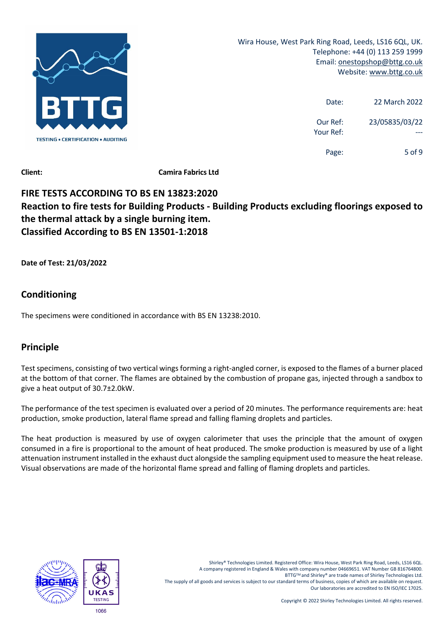

| 22 March 2022  | Date:                 |
|----------------|-----------------------|
| 23/05835/03/22 | Our Ref:<br>Your Ref: |
| 5 of 9         | Page:                 |

**Client: Camira Fabrics Ltd**

# **FIRE TESTS ACCORDING TO BS EN 13823:2020 Reaction to fire tests for Building Products ‐ Building Products excluding floorings exposed to the thermal attack by a single burning item. Classified According to BS EN 13501‐1:2018**

**Date of Test: 21/03/2022**

# **Conditioning**

The specimens were conditioned in accordance with BS EN 13238:2010.

# **Principle**

Test specimens, consisting of two vertical wings forming a right-angled corner, is exposed to the flames of a burner placed at the bottom of that corner. The flames are obtained by the combustion of propane gas, injected through a sandbox to give a heat output of 30.7±2.0kW.

The performance of the test specimen is evaluated over a period of 20 minutes. The performance requirements are: heat production, smoke production, lateral flame spread and falling flaming droplets and particles.

The heat production is measured by use of oxygen calorimeter that uses the principle that the amount of oxygen consumed in a fire is proportional to the amount of heat produced. The smoke production is measured by use of a light attenuation instrument installed in the exhaust duct alongside the sampling equipment used to measure the heat release. Visual observations are made of the horizontal flame spread and falling of flaming droplets and particles.

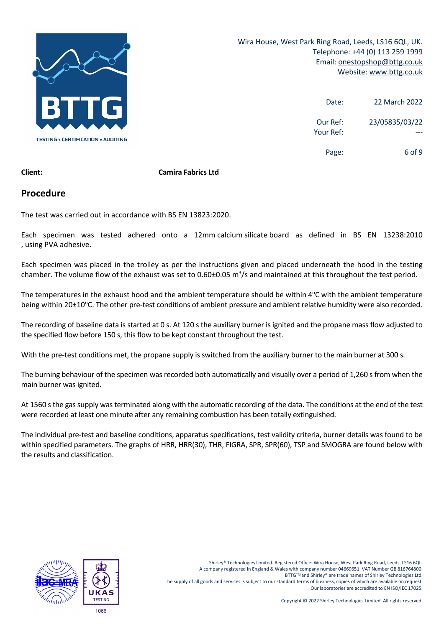

| 22 March 2022  | Date:                 |
|----------------|-----------------------|
| 23/05835/03/22 | Our Ref:<br>Your Ref: |
| 6 of 9         | Page:                 |

#### **Client: Camira Fabrics Ltd**

### **Procedure**

The test was carried out in accordance with BS EN 13823:2020.

Each specimen was tested adhered onto a 12mm calcium silicate board as defined in BS EN 13238:2010 , using PVA adhesive.

Each specimen was placed in the trolley as per the instructions given and placed underneath the hood in the testing chamber. The volume flow of the exhaust was set to 0.60±0.05  $m^3/s$  and maintained at this throughout the test period.

The temperatures in the exhaust hood and the ambient temperature should be within 4°C with the ambient temperature being within 20±10°C. The other pre-test conditions of ambient pressure and ambient relative humidity were also recorded.

The recording of baseline data is started at 0 s. At 120 s the auxiliary burner is ignited and the propane mass flow adjusted to the specified flow before 150 s, this flow to be kept constant throughout the test.

With the pre-test conditions met, the propane supply is switched from the auxiliary burner to the main burner at 300 s.

The burning behaviour of the specimen was recorded both automatically and visually over a period of 1,260 s from when the main burner was ignited.

At 1560 s the gas supply was terminated along with the automatic recording of the data. The conditions at the end of the test were recorded at least one minute after any remaining combustion has been totally extinguished.

The individual pre‐test and baseline conditions, apparatus specifications, test validity criteria, burner details was found to be within specified parameters. The graphs of HRR, HRR(30), THR, FIGRA, SPR, SPR(60), TSP and SMOGRA are found below with the results and classification.

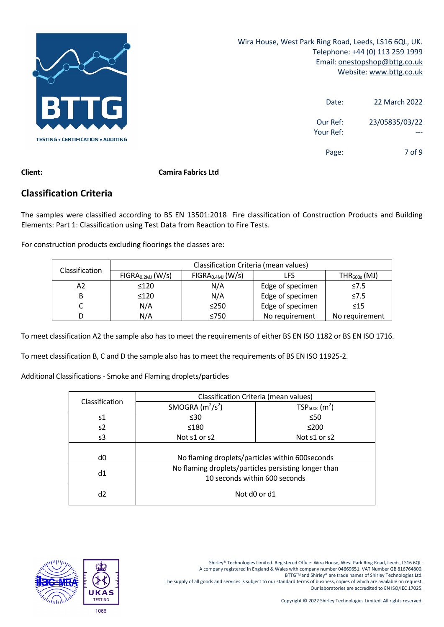

| 22 March 2022  | Date:                 |
|----------------|-----------------------|
| 23/05835/03/22 | Our Ref:<br>Your Ref: |
| 7 of 9         | Page:                 |

#### **Client: Camira Fabrics Ltd**

## **Classification Criteria**

The samples were classified according to BS EN 13501:2018 Fire classification of Construction Products and Building Elements: Part 1: Classification using Test Data from Reaction to Fire Tests.

For construction products excluding floorings the classes are:

| Classification | Classification Criteria (mean values) |                                                       |                  |                |  |
|----------------|---------------------------------------|-------------------------------------------------------|------------------|----------------|--|
|                | FIGRA <sub>0.2MJ</sub> (W/s)          | FIGRA <sub>0.4MJ</sub> (W/s)<br>$THR600s$ (MJ)<br>LFS |                  |                |  |
| А2             | $\leq 120$                            | N/A                                                   | Edge of specimen | $\leq 7.5$     |  |
| B              | $\leq 120$                            | N/A                                                   | Edge of specimen | $\leq 7.5$     |  |
|                | N/A                                   | $\leq$ 250                                            | Edge of specimen | $\leq 15$      |  |
| D              | N/A                                   | ≤750                                                  | No requirement   | No requirement |  |

To meet classification A2 the sample also has to meet the requirements of either BS EN ISO 1182 or BS EN ISO 1716.

To meet classification B, C and D the sample also has to meet the requirements of BS EN ISO 11925‐2.

Additional Classifications ‐ Smoke and Flaming droplets/particles

| Classification | Classification Criteria (mean values) |                                                      |  |
|----------------|---------------------------------------|------------------------------------------------------|--|
|                | SMOGRA $(m^2/s^2)$                    | $TSP600s$ (m <sup>2</sup> )                          |  |
| s1             | $\leq 30$                             | $\leq 50$                                            |  |
| s2             | ≤180                                  | $\leq$ 200                                           |  |
| s3             | Not s1 or s2                          | Not s1 or s2                                         |  |
|                |                                       |                                                      |  |
| d0             |                                       | No flaming droplets/particles within 600 seconds     |  |
| d1             |                                       | No flaming droplets/particles persisting longer than |  |
|                | 10 seconds within 600 seconds         |                                                      |  |
| d2             | Not d0 or d1                          |                                                      |  |

A company registered in England & Wales with company number 04669651. VAT Number GB 816764800.

BTTG™ and Shirley® are trade names of Shirley Technologies Ltd.

The supply of all goods and services is subject to our standard terms of business, copies of which are available on request. Our laboratories are accredited to EN ISO/IEC 17025.

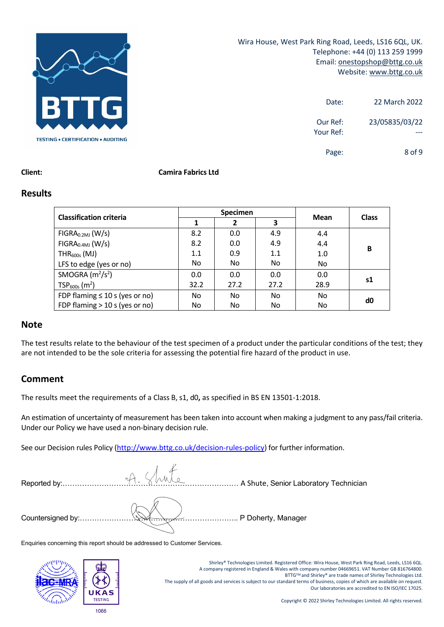

| 22 March 2022  | Date:                 |
|----------------|-----------------------|
| 23/05835/03/22 | Our Ref:<br>Your Ref: |
| 8 of 9         | Page:                 |

#### **Client: Camira Fabrics Ltd**

#### **Results**

| <b>Classification criteria</b>      | <b>Specimen</b> |      |           |      |              |
|-------------------------------------|-----------------|------|-----------|------|--------------|
|                                     |                 | 2    | 3         | Mean | <b>Class</b> |
| FIGRA <sub>0.2MJ</sub> (W/s)        | 8.2             | 0.0  | 4.9       | 4.4  |              |
| FIGRA <sub>0.4MJ</sub> (W/s)        | 8.2             | 0.0  | 4.9       | 4.4  |              |
| $THR600s$ (MJ)                      | 1.1             | 0.9  | 1.1       | 1.0  | В            |
| LFS to edge (yes or no)             | No.             | No.  | No.       | No   |              |
| SMOGRA $(m^2/s^2)$                  | 0.0             | 0.0  | 0.0       | 0.0  |              |
| $TSP600s$ (m <sup>2</sup> )         | 32.2            | 27.2 | 27.2      | 28.9 | s1           |
| FDP flaming $\leq 10$ s (yes or no) | No.             | No.  | <b>No</b> | No   | d0           |
| FDP flaming $>$ 10 s (yes or no)    | No.             | No   | No.       | No.  |              |

#### **Note**

The test results relate to the behaviour of the test specimen of a product under the particular conditions of the test; they are not intended to be the sole criteria for assessing the potential fire hazard of the product in use.

# **Comment**

The results meet the requirements of a Class B, s1, d0**,** as specified in BS EN 13501‐1:2018.

An estimation of uncertainty of measurement has been taken into account when making a judgment to any pass/fail criteria. Under our Policy we have used a non‐binary decision rule.

See our Decision rules Policy (http://www.bttg.co.uk/decision-rules-policy) for further information.

| Reported by: | A Shuto | A Shute, Senior Laboratory Technician |
|--------------|---------|---------------------------------------|
|              |         | <u></u> P Doherty, Manager            |

Enquiries concerning this report should be addressed to Customer Services.



Shirley® Technologies Limited. Registered Office: Wira House, West Park Ring Road, Leeds, LS16 6QL. A company registered in England & Wales with company number 04669651. VAT Number GB 816764800. BTTGTM and Shirley® are trade names of Shirley Technologies Ltd. The supply of all goods and services is subject to our standard terms of business, copies of which are available on request. Our laboratories are accredited to EN ISO/IEC 17025.